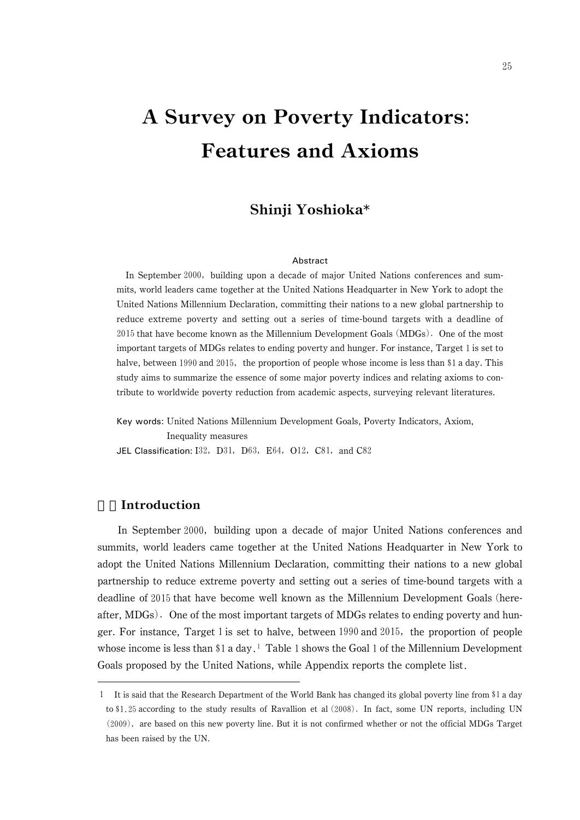# A Survey on Poverty Indicators: Features and Axioms

# Shinji Yoshioka\*

#### Abstract

In September 2000, building upon a decade of major United Nations conferences and summits, world leaders came together at the United Nations Headquarter in New York to adopt the United Nations Millennium Declaration, committing their nations to a new global partnership to reduce extreme poverty and setting out a series of time-bound targets with a deadline of 2015 that have become known as the Millennium Development Goals (MDGs). One of the most important targets of MDGs relates to ending poverty and hunger. For instance, Target is set to halve, between 1990 and 2015, the proportion of people whose income is less than \$1 a day. This study aims to summarize the essence of some major poverty indices and relating axioms to contribute to worldwide poverty reduction from academic aspects, surveying relevant literatures.

Key words: United Nations Millennium Development Goals, Poverty Indicators, Axiom, Inequality measures JEL Classification:  $I32$ ,  $D31$ ,  $D63$ ,  $E64$ ,  $O12$ ,  $C81$ , and  $C82$ 

# **Introduction**

In September 2000, building upon a decade of major United Nations conferences and summits, world leaders came together at the United Nations Headquarter in New York to adopt the United Nations Millennium Declaration, committing their nations to a new global partnership to reduce extreme poverty and setting out a series of time-bound targets with a deadline of 2015 that have become well known as the Millennium Development Goals (hereafter, MDGs). One of the most important targets of MDGs relates to ending poverty and hunger. For instance, Target 1 is set to halve, between 1990 and 2015, the proportion of people whose income is less than  $\$1$  a day.<sup>1</sup> Table 1 shows the Goal 1 of the Millennium Development Goals proposed by the United Nations, while Appendix reports the complete list

It is said that the Research Department of the World Bank has changed its global poverty line from \$1 a day to \$1.25 according to the study results of Ravallion et al (2008). In fact, some UN reports, including UN (2009), are based on this new poverty line. But it is not confirmed whether or not the official MDGs Target has been raised by the UN.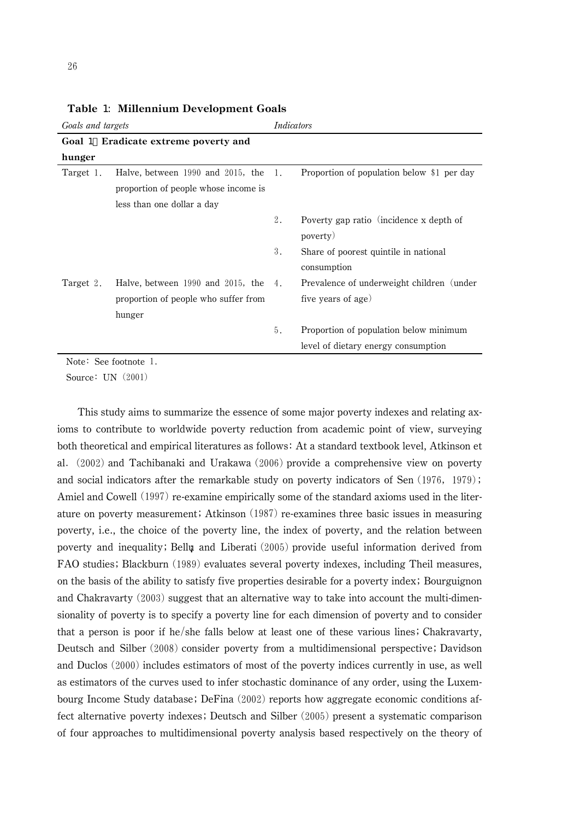| Goals and targets         |                                           | Indicators |                                            |  |
|---------------------------|-------------------------------------------|------------|--------------------------------------------|--|
|                           | Goal 1 Eradicate extreme poverty and      |            |                                            |  |
| hunger                    |                                           |            |                                            |  |
| Target 1.                 | Halve, between $1990$ and $2015$ , the 1. |            | Proportion of population below \$1 per day |  |
|                           | proportion of people whose income is      |            |                                            |  |
|                           | less than one dollar a day                |            |                                            |  |
|                           |                                           | 2.         | Poverty gap ratio (incidence x depth of    |  |
|                           |                                           |            | poverty)                                   |  |
|                           |                                           | 3.         | Share of poorest quintile in national      |  |
|                           |                                           |            | consumption                                |  |
| Target 2.                 | Halve, between 1990 and 2015, the 4.      |            | Prevalence of underweight children (under  |  |
|                           | proportion of people who suffer from      |            | five years of age)                         |  |
|                           | hunger                                    |            |                                            |  |
|                           |                                           | 5.         | Proportion of population below minimum     |  |
|                           |                                           |            | level of dietary energy consumption        |  |
| $Nofo$ , $Coo$ footpota 1 |                                           |            |                                            |  |

Table 1: Millennium Development Goals

Note: See footnote 1.

Source: UN (2001)

This study aims to summarize the essence of some major poverty indexes and relating axioms to contribute to worldwide poverty reduction from academic point of view, surveying both theoretical and empirical literatures as follows: At a standard textbook level, Atkinson et al. (2002) and Tachibanaki and Urakawa (2006) provide a comprehensive view on poverty and social indicators after the remarkable study on poverty indicators of Sen  $(1976, 1979)$ ; Amiel and Cowell (1997) re-examine empirically some of the standard axioms used in the literature on poverty measurement; Atkinson (1987) re-examines three basic issues in measuring poverty, i.e., the choice of the poverty line, the index of poverty, and the relation between poverty and inequality; Bell $\mu$  and Liberati  $(2005)$  provide useful information derived from FAO studies; Blackburn (1989) evaluates several poverty indexes, including Theil measures, on the basis of the ability to satisfy five properties desirable for a poverty index; Bourguignon and Chakravarty  $(2003)$  suggest that an alternative way to take into account the multi-dimensionality of poverty is to specify a poverty line for each dimension of poverty and to consider that a person is poor if he/she falls below at least one of these various lines; Chakravarty, Deutsch and Silber (2008) consider poverty from a multidimensional perspective; Davidson and Duclos (2000) includes estimators of most of the poverty indices currently in use, as well as estimators of the curves used to infer stochastic dominance of any order, using the Luxembourg Income Study database; DeFina  $(2002)$  reports how aggregate economic conditions affect alternative poverty indexes; Deutsch and Silber  $(2005)$  present a systematic comparison of four approaches to multidimensional poverty analysis based respectively on the theory of

26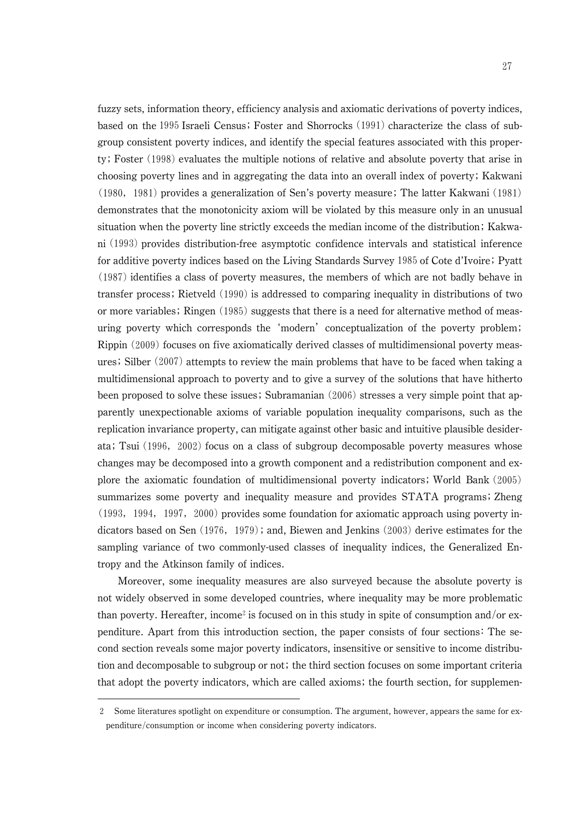fuzzy sets, information theory, efficiency analysis and axiomatic derivations of poverty indices, based on the  $1995$  Israeli Census; Foster and Shorrocks  $(1991)$  characterize the class of subgroup consistent poverty indices, and identify the special features associated with this property; Foster (1998) evaluates the multiple notions of relative and absolute poverty that arise in choosing poverty lines and in aggregating the data into an overall index of poverty Kakwani  $(1980, 1981)$  provides a generalization of Sen's poverty measure; The latter Kakwani  $(1981)$ demonstrates that the monotonicity axiom will be violated by this measure only in an unusual situation when the poverty line strictly exceeds the median income of the distribution; Kakwani (1993) provides distribution-free asymptotic confidence intervals and statistical inference for additive poverty indices based on the Living Standards Survey 1985 of Cote d'Ivoire; Pyatt (1987) identifies a class of poverty measures, the members of which are not badly behave in transfer process; Rietveld (1990) is addressed to comparing inequality in distributions of two or more variables; Ringen  $(1985)$  suggests that there is a need for alternative method of measuring poverty which corresponds the 'modern' conceptualization of the poverty problem; Rippin (2009) focuses on five axiomatically derived classes of multidimensional poverty measures; Silber  $(2007)$  attempts to review the main problems that have to be faced when taking a multidimensional approach to poverty and to give a survey of the solutions that have hitherto been proposed to solve these issues; Subramanian  $(2006)$  stresses a very simple point that apparently unexpectionable axioms of variable population inequality comparisons, such as the replication invariance property, can mitigate against other basic and intuitive plausible desiderata; Tsui (1996, 2002) focus on a class of subgroup decomposable poverty measures whose changes may be decomposed into a growth component and a redistribution component and explore the axiomatic foundation of multidimensional poverty indicators; World Bank (2005) summarizes some poverty and inequality measure and provides STATA programs; Zheng (1993, 1994, 1997, 2000) provides some foundation for axiomatic approach using poverty indicators based on Sen  $(1976, 1979)$ ; and, Biewen and Jenkins  $(2003)$  derive estimates for the sampling variance of two commonly-used classes of inequality indices, the Generalized Entropy and the Atkinson family of indices.

Moreover, some inequality measures are also surveyed because the absolute poverty is not widely observed in some developed countries, where inequality may be more problematic than poverty. Hereafter, income<sup>2</sup> is focused on in this study in spite of consumption and/or expenditure. Apart from this introduction section, the paper consists of four sections The second section reveals some major poverty indicators, insensitive or sensitive to income distribution and decomposable to subgroup or not; the third section focuses on some important criteria that adopt the poverty indicators, which are called axioms; the fourth section, for supplemen-

Some literatures spotlight on expenditure or consumption. The argument, however, appears the same for expenditure/consumption or income when considering poverty indicators.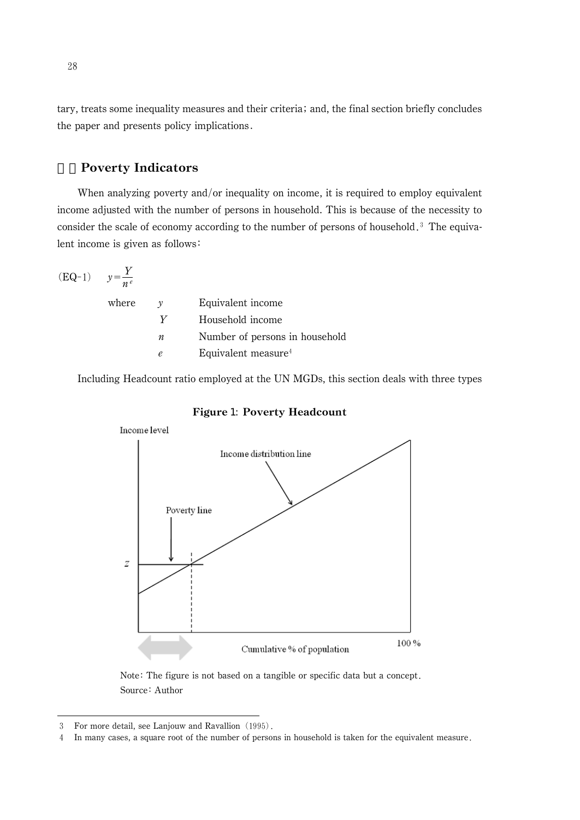tary, treats some inequality measures and their criteria; and, the final section briefly concludes the paper and presents policy implications

# 2.Poverty Indicators

When analyzing poverty and/or inequality on income, it is required to employ equivalent income adjusted with the number of persons in household. This is because of the necessity to consider the scale of economy according to the number of persons of household.<sup>3</sup> The equivalent income is given as follows

$$
(EQ-1) \qquad y = \frac{Y}{n^e}
$$

| where | $\mathcal V$ | Equivalent income               |
|-------|--------------|---------------------------------|
|       | V            | Household income                |
|       | n            | Number of persons in household  |
|       | e            | Equivalent measure <sup>4</sup> |
|       |              |                                 |

Including Headcount ratio employed at the UN MGDs, this section deals with three types



Figure 1: Poverty Headcount

Note: The figure is not based on a tangible or specific data but a concept. Source: Author

<sup>3</sup> For more detail, see Lanjouw and Ravallion (1995).

<sup>-</sup>In many cases, a square root of the number of persons in household is taken for the equivalent measure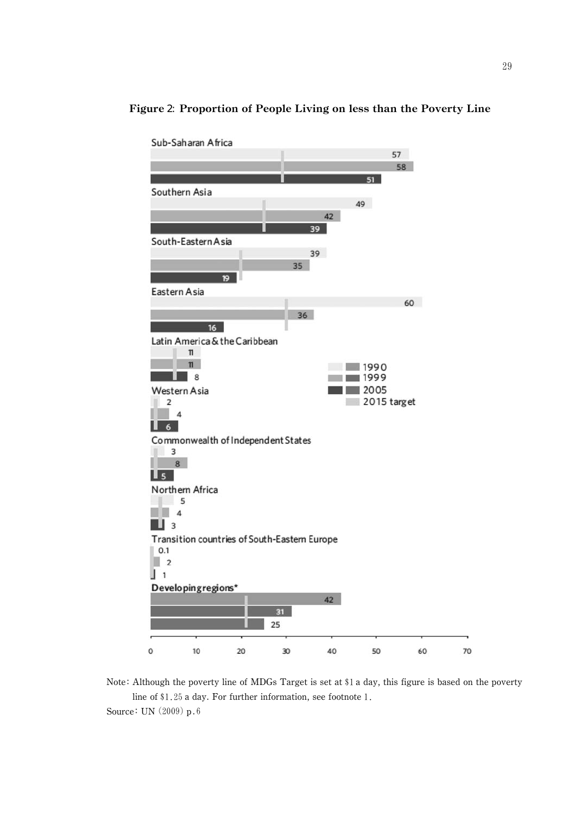

# Figure 2: Proportion of People Living on less than the Poverty Line

Note: Although the poverty line of MDGs Target is set at \$1 a day, this figure is based on the poverty line of  $$1.25$  a day. For further information, see footnote 1.

Source: UN  $(2009)$  p.6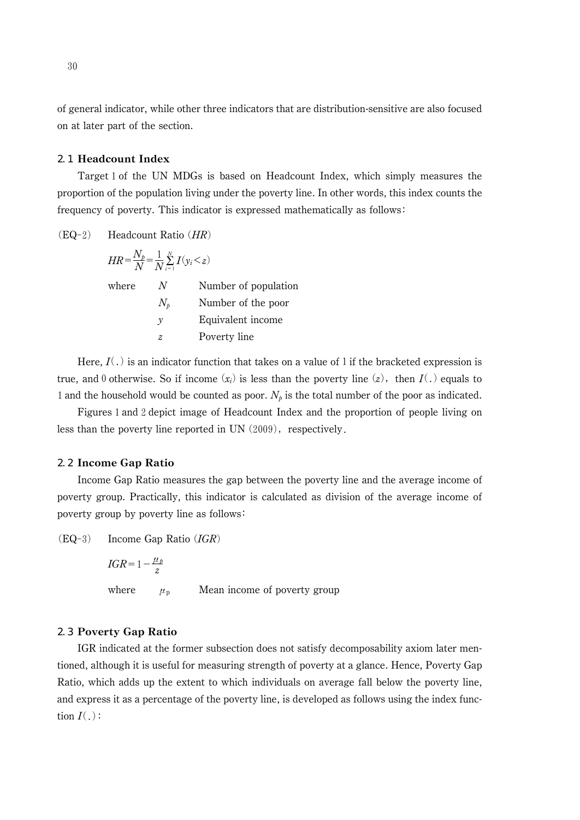of general indicator, while other three indicators that are distribution-sensitive are also focused on at later part of the section.

# 2.1 Headcount Index

Target 1 of the UN MDGs is based on Headcount Index, which simply measures the proportion of the population living under the poverty line. In other words, this index counts the frequency of poverty. This indicator is expressed mathematically as follows

 $(EQ-2)$  Headcount Ratio  $(HR)$ 

|       | $HR = \frac{N_p}{N} = \frac{1}{N} \sum_{i=1}^{N} I(y_i \leq z)$ |                      |
|-------|-----------------------------------------------------------------|----------------------|
| where | N                                                               | Number of population |
|       | $N_{\rm h}$                                                     | Number of the poor   |
|       | v                                                               | Equivalent income    |
|       | z.                                                              | Poverty line         |
|       |                                                                 |                      |

Here,  $I(.)$  is an indicator function that takes on a value of 1 if the bracketed expression is true, and 0 otherwise. So if income  $(x_i)$  is less than the poverty line  $(z)$ , then  $I(.)$  equals to 1 and the household would be counted as poor.  $N_p$  is the total number of the poor as indicated.

Figures 1 and 2 depict image of Headcount Index and the proportion of people living on less than the poverty line reported in UN  $(2009)$ , respectively.

# 2.2 Income Gap Ratio

Income Gap Ratio measures the gap between the poverty line and the average income of poverty group. Practically, this indicator is calculated as division of the average income of poverty group by poverty line as follows

 $(EQ-3)$  Income Gap Ratio  $(IGR)$ 

 $IGR = 1 - \frac{\mu_p}{z}$ where  $\mu_{\rm p}$ Mean income of poverty group

# 2.3 Poverty Gap Ratio

IGR indicated at the former subsection does not satisfy decomposability axiom later mentioned, although it is useful for measuring strength of poverty at a glance. Hence, Poverty Gap Ratio, which adds up the extent to which individuals on average fall below the poverty line, and express it as a percentage of the poverty line, is developed as follows using the index function  $I(.)$ :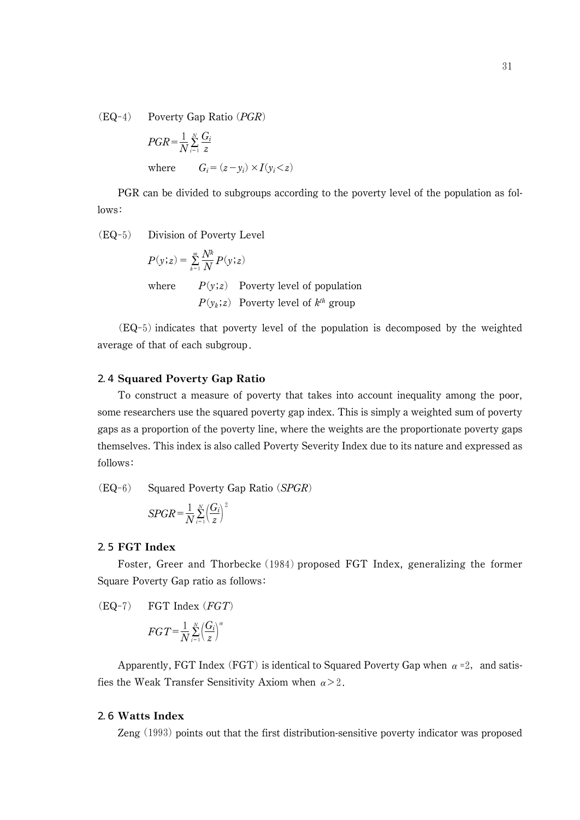$(EQ-4)$  Poverty Gap Ratio  $(PGR)$ 

$$
PGR = \frac{1}{N} \sum_{i=1}^{N} \frac{G_i}{z}
$$
  
where 
$$
G_i = (z - y_i) \times I(y_i < z)
$$

PGR can be divided to subgroups according to the poverty level of the population as follows:

(EQ-5) Division of Poverty Level

$$
P(y; z) = \sum_{k=1}^{m} \frac{N^k}{N} P(y; z)
$$
  
where  $P(y; z)$  Powerty level of population  
 $P(y_k; z)$  Powerty level of  $k^{th}$  group

 $(EQ-5)$  indicates that poverty level of the population is decomposed by the weighted average of that of each subgroup

# 2.4 Squared Poverty Gap Ratio

To construct a measure of poverty that takes into account inequality among the poor, some researchers use the squared poverty gap index. This is simply a weighted sum of poverty gaps as a proportion of the poverty line, where the weights are the proportionate poverty gaps themselves. This index is also called Poverty Severity Index due to its nature and expressed as follows

 $(EQ-6)$  Squared Poverty Gap Ratio  $(SPGR)$ 

$$
SPGR = \frac{1}{N} \sum_{i=1}^{N} \left(\frac{G_i}{z}\right)^2
$$

## 2.5 FGT Index

Foster, Greer and Thorbecke (1984) proposed FGT Index, generalizing the former Square Poverty Gap ratio as follows

 $(EQ-7)$  FGT Index  $(FGT)$ 

$$
FGT = \frac{1}{N} \sum_{i=1}^{N} \left(\frac{G_i}{z}\right)^{\alpha}
$$

Apparently, FGT Index (FGT) is identical to Squared Poverty Gap when  $\alpha$  =2, and satisfies the Weak Transfer Sensitivity Axiom when  $\alpha > 2$ .

# 2.6 Watts Index

Zeng (1993) points out that the first distribution-sensitive poverty indicator was proposed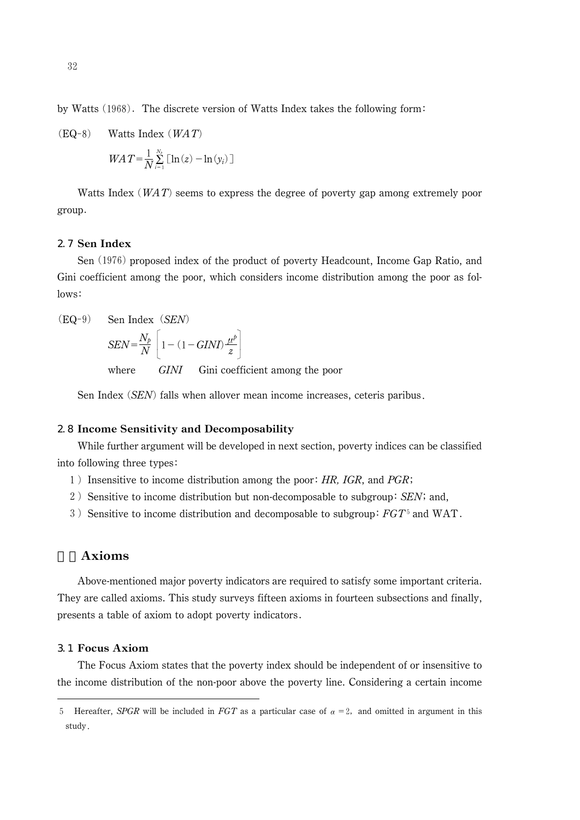by Watts  $(1968)$ . The discrete version of Watts Index takes the following form:

(EQ-8) Watts Index (*WA T*)  
\n
$$
WA T = \frac{1}{N} \sum_{i=1}^{N_s} \left[ \ln(z) - \ln(y_i) \right]
$$

Watts Index ( $WAT$ ) seems to express the degree of poverty gap among extremely poor group

# 2.7 Sen Index

 $(EO-9)$ 

Sen (1976) proposed index of the product of poverty Headcount, Income Gap Ratio, and Gini coefficient among the poor, which considers income distribution among the poor as follows:

Sen Index *(SEN)*  
\n
$$
SEN = \frac{N_b}{N} \left[ 1 - (1 - GINI) \frac{\mu^b}{z} \right]
$$

where GINI Gini coefficient among the poor

Sen Index  $(SEN)$  falls when allover mean income increases, ceteris paribus.

# 2.8 Income Sensitivity and Decomposability

While further argument will be developed in next section, poverty indices can be classified into following three types 

- 1) Insensitive to income distribution among the poor:  $HR$ , IGR, and PGR;
- 2) Sensitive to income distribution but non-decomposable to subgroup: SEN; and,
- 3) Sensitive to income distribution and decomposable to subgroup:  $FGT^5$  and WAT.

# **Axioms**

Above-mentioned major poverty indicators are required to satisfy some important criteria. They are called axioms. This study surveys fifteen axioms in fourteen subsections and finally, presents a table of axiom to adopt poverty indicators

# 3.1 Focus Axiom

The Focus Axiom states that the poverty index should be independent of or insensitive to the income distribution of the non-poor above the poverty line. Considering a certain income

<sup>5</sup> Hereafter, SPGR will be included in FGT as a particular case of  $\alpha = 2$ , and omitted in argument in this study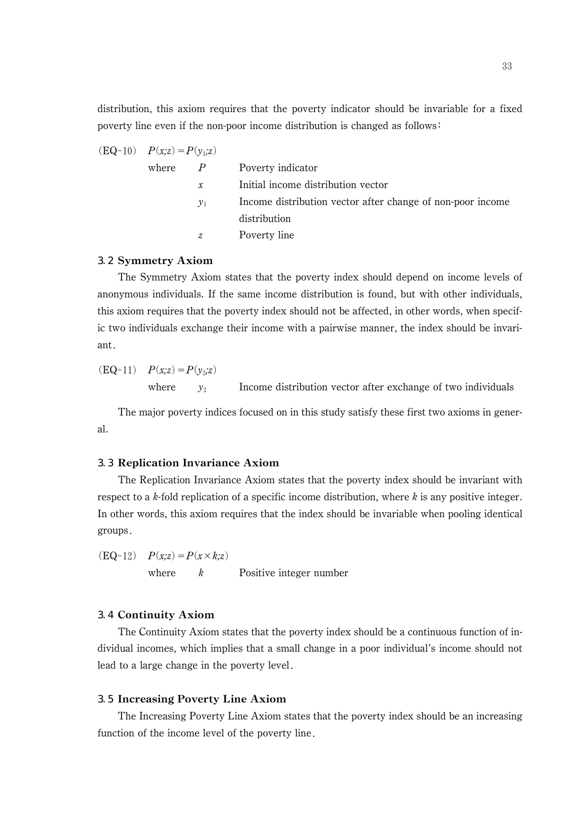distribution, this axiom requires that the poverty indicator should be invariable for a fixed poverty line even if the non-poor income distribution is changed as follows:

(EQ-10) 
$$
P(x,z) = P(y_1,z)
$$

\nwhere  $P$    
\nInital income distribution vector  $y_1$    
\nIncome distribution vector after change of non-poor income distribution  $z$    
\n

# 3.2 Symmetry Axiom

The Symmetry Axiom states that the poverty index should depend on income levels of anonymous individuals. If the same income distribution is found, but with other individuals, this axiom requires that the poverty index should not be affected, in other words, when specific two individuals exchange their income with a pairwise manner, the index should be invariant

(EQ-11) 
$$
P(x,z) = P(y_2,z)
$$

\nwhere  $y_2$  Income distribution vector after exchange of two individuals

The major poverty indices focused on in this study satisfy these first two axioms in general.

# 3.3 Replication Invariance Axiom

The Replication Invariance Axiom states that the poverty index should be invariant with respect to a k-fold replication of a specific income distribution, where  $k$  is any positive integer. In other words, this axiom requires that the index should be invariable when pooling identical groups

 $(EQ-12)$   $P(x;z)=P(x\times k;z)$ where  $k$  Positive integer number

## 3.4 Continuity Axiom

The Continuity Axiom states that the poverty index should be a continuous function of individual incomes, which implies that a small change in a poor individual's income should not lead to a large change in the poverty level

# 3.5 Increasing Poverty Line Axiom

The Increasing Poverty Line Axiom states that the poverty index should be an increasing function of the income level of the poverty line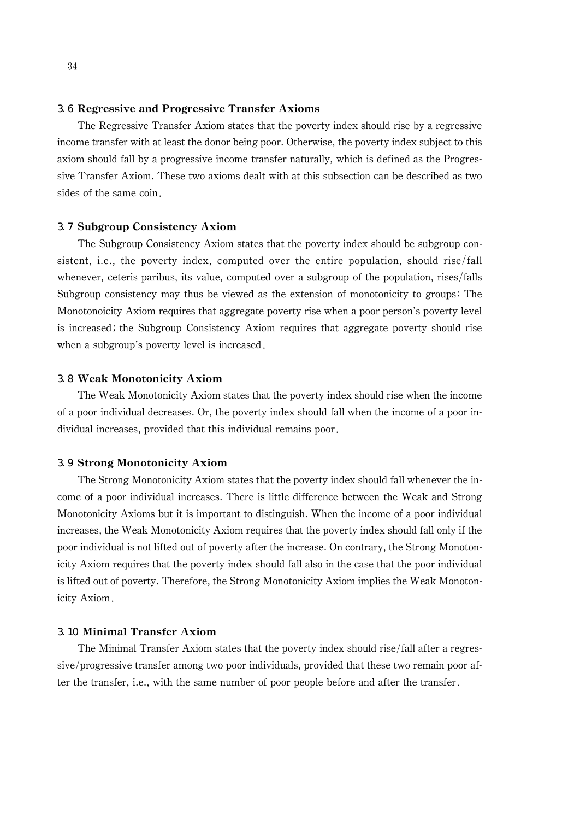# 3.6 Regressive and Progressive Transfer Axioms

The Regressive Transfer Axiom states that the poverty index should rise by a regressive income transfer with at least the donor being poor. Otherwise, the poverty index subject to this axiom should fall by a progressive income transfer naturally, which is defined as the Progressive Transfer Axiom. These two axioms dealt with at this subsection can be described as two sides of the same coin

## 3.7 Subgroup Consistency Axiom

The Subgroup Consistency Axiom states that the poverty index should be subgroup consistent, i.e., the poverty index, computed over the entire population, should rise/fall whenever, ceteris paribus, its value, computed over a subgroup of the population, rises/falls Subgroup consistency may thus be viewed as the extension of monotonicity to groups The Monotonoicity Axiom requires that aggregate poverty rise when a poor person's poverty level is increased; the Subgroup Consistency Axiom requires that aggregate poverty should rise when a subgroup's poverty level is increased.

# 3.8 Weak Monotonicity Axiom

The Weak Monotonicity Axiom states that the poverty index should rise when the income of a poor individual decreases. Or, the poverty index should fall when the income of a poor individual increases, provided that this individual remains poor

# 3.9 Strong Monotonicity Axiom

The Strong Monotonicity Axiom states that the poverty index should fall whenever the income of a poor individual increases. There is little difference between the Weak and Strong Monotonicity Axioms but it is important to distinguish. When the income of a poor individual increases, the Weak Monotonicity Axiom requires that the poverty index should fall only if the poor individual is not lifted out of poverty after the increase. On contrary, the Strong Monotonicity Axiom requires that the poverty index should fall also in the case that the poor individual is lifted out of poverty. Therefore, the Strong Monotonicity Axiom implies the Weak Monotonicity Axiom

# 3.10 Minimal Transfer Axiom

The Minimal Transfer Axiom states that the poverty index should rise/fall after a regressive/progressive transfer among two poor individuals, provided that these two remain poor after the transfer, i.e., with the same number of poor people before and after the transfer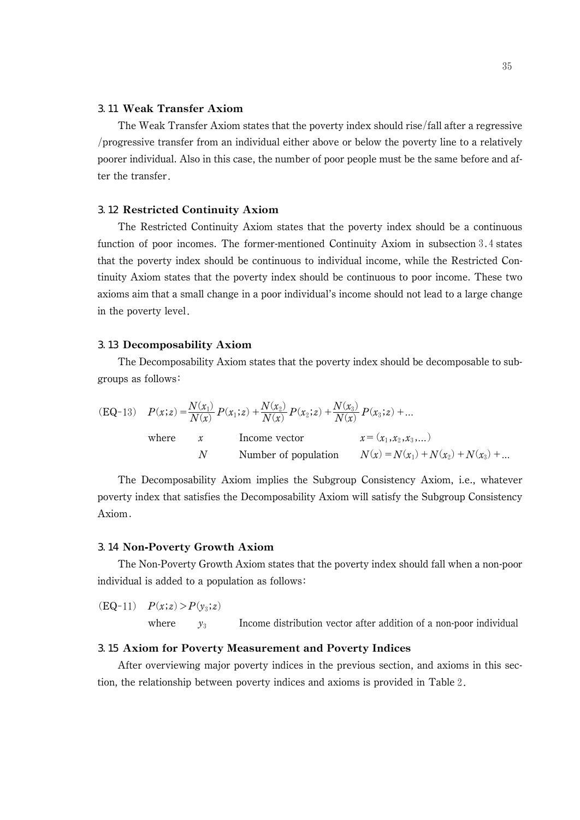# 3.11 Weak Transfer Axiom

The Weak Transfer Axiom states that the poverty index should rise/fall after a regressive progressive transfer from an individual either above or below the poverty line to a relatively poorer individual. Also in this case, the number of poor people must be the same before and after the transfer

# 3.12 Restricted Continuity Axiom

The Restricted Continuity Axiom states that the poverty index should be a continuous function of poor incomes. The former-mentioned Continuity Axiom in subsection  $3.4$  states that the poverty index should be continuous to individual income, while the Restricted Continuity Axiom states that the poverty index should be continuous to poor income. These two axioms aim that a small change in a poor individual's income should not lead to a large change in the poverty level

#### 3.13 Decomposability Axiom

The Decomposability Axiom states that the poverty index should be decomposable to subgroups as follows

|       |        | (EQ-13) $P(x;z) = \frac{N(x_1)}{N(x)} P(x_1;z) + \frac{N(x_2)}{N(x)} P(x_2;z) + \frac{N(x_3)}{N(x)} P(x_3;z) + $ |                                      |
|-------|--------|------------------------------------------------------------------------------------------------------------------|--------------------------------------|
| where | $\chi$ | Income vector                                                                                                    | $x = (x_1, x_2, x_3, )$              |
|       | N.     | Number of population                                                                                             | $N(x) = N(x_1) + N(x_2) + N(x_3) + $ |

The Decomposability Axiom implies the Subgroup Consistency Axiom, i.e., whatever poverty index that satisfies the Decomposability Axiom will satisfy the Subgroup Consistency Axiom

## 3.14 Non-Poverty Growth Axiom

The Non-Poverty Growth Axiom states that the poverty index should fall when a non-poor individual is added to a population as follows

 $(EQ-11)$   $P(x;z) > P(y_3;z)$ where  $y_3$  Income distribution vector after addition of a non-poor individual

# 3.15 Axiom for Poverty Measurement and Poverty Indices

After overviewing major poverty indices in the previous section, and axioms in this section, the relationship between poverty indices and axioms is provided in Table 2.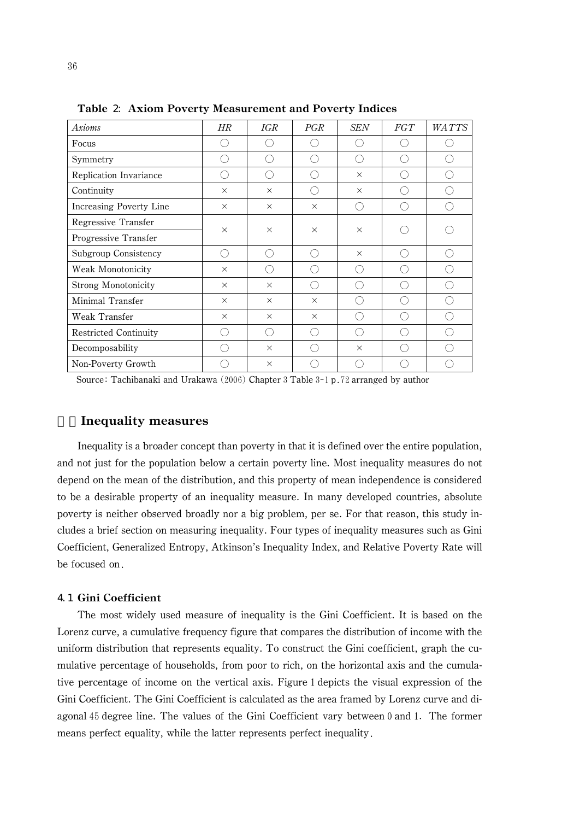| <b>Axioms</b>                | $H\!R$       | IGR      | PGR      | SEN      | FGT | <b>WATTS</b> |
|------------------------------|--------------|----------|----------|----------|-----|--------------|
| Focus                        | <sub>(</sub> |          |          |          |     |              |
| Symmetry                     | ( )          |          |          | ( )      |     |              |
| Replication Invariance       | ( )          | ( )      |          | $\times$ | ⊂ ) | ⊖            |
| Continuity                   | $\times$     | $\times$ | œ        | $\times$ | r - |              |
| Increasing Poverty Line      | $\times$     | $\times$ | $\times$ |          |     |              |
| Regressive Transfer          | $\times$     | $\times$ | $\times$ | $\times$ |     |              |
| Progressive Transfer         |              |          |          |          |     |              |
| Subgroup Consistency         | ()           |          |          | $\times$ |     |              |
| Weak Monotonicity            | $\times$     |          |          | $( \ )$  | L.  |              |
| Strong Monotonicity          | $\times$     | $\times$ | ∩        | ⊂ ′      |     |              |
| Minimal Transfer             | $\times$     | $\times$ | $\times$ |          |     |              |
| Weak Transfer                | $\times$     | $\times$ | $\times$ | ⊖        | ∩)  |              |
| <b>Restricted Continuity</b> |              |          |          | ( `      |     |              |
| Decomposability              | . .          | $\times$ |          | $\times$ |     |              |
| Non-Poverty Growth           |              | $\times$ |          |          |     |              |

Table 2: Axiom Poverty Measurement and Poverty Indices

Source: Tachibanaki and Urakawa  $(2006)$  Chapter 3 Table 3-1 p.72 arranged by author

# 4.Inequality measures

Inequality is a broader concept than poverty in that it is defined over the entire population, and not just for the population below a certain poverty line. Most inequality measures do not depend on the mean of the distribution, and this property of mean independence is considered to be a desirable property of an inequality measure. In many developed countries, absolute poverty is neither observed broadly nor a big problem, per se. For that reason, this study includes a brief section on measuring inequality. Four types of inequality measures such as Gini Coefficient, Generalized Entropy, Atkinson's Inequality Index, and Relative Poverty Rate will be focused on

# 4.1 Gini Coefficient

The most widely used measure of inequality is the Gini Coefficient. It is based on the Lorenz curve, a cumulative frequency figure that compares the distribution of income with the uniform distribution that represents equality. To construct the Gini coefficient, graph the cumulative percentage of households, from poor to rich, on the horizontal axis and the cumulative percentage of income on the vertical axis. Figure 1 depicts the visual expression of the Gini Coefficient. The Gini Coefficient is calculated as the area framed by Lorenz curve and diagonal 45 degree line. The values of the Gini Coefficient vary between 0 and 1. The former means perfect equality, while the latter represents perfect inequality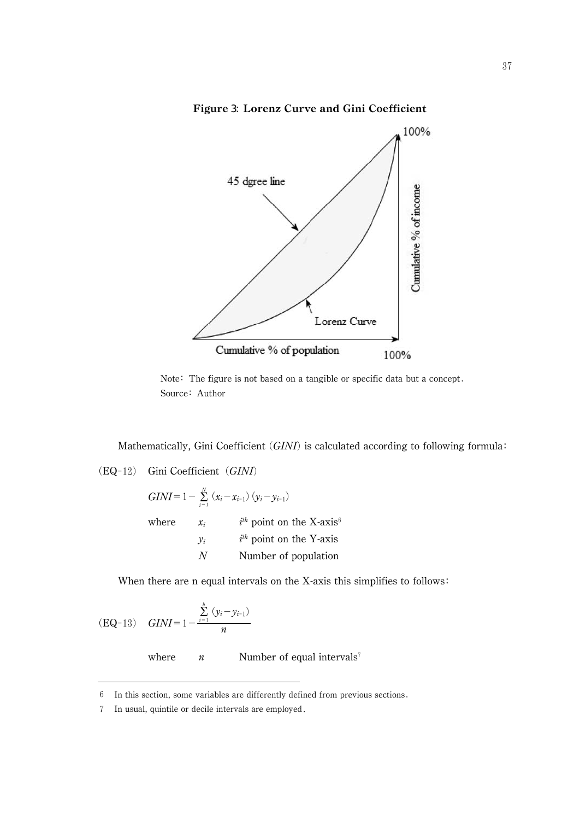Figure 3: Lorenz Curve and Gini Coefficient



Note: The figure is not based on a tangible or specific data but a concept. Source: Author

Mathematically, Gini Coefficient  $(GINI)$  is calculated according to following formula:

 $(EQ-12)$  Gini Coefficient  $(GINI)$ 

 $GINI = 1 - \sum_{i=1}^{N} (x_i - x_{i-1})(y_i - y_{i-1})$ where  $x_i$  i<sup>th</sup> point on the X-axis<sup>6</sup>  $y_i$  i<sup>th</sup> point on the Y-axis N Number of population

When there are n equal intervals on the X-axis this simplifies to follows:

(EQ-13) 
$$
GINI = 1 - \frac{\sum_{i=1}^{h} (y_i - y_{i-1})}{n}
$$

where  $n$  Number of equal intervals<sup>7</sup>

In this section, some variables are differently defined from previous sections

<sup>-</sup>In usual, quintile or decile intervals are employed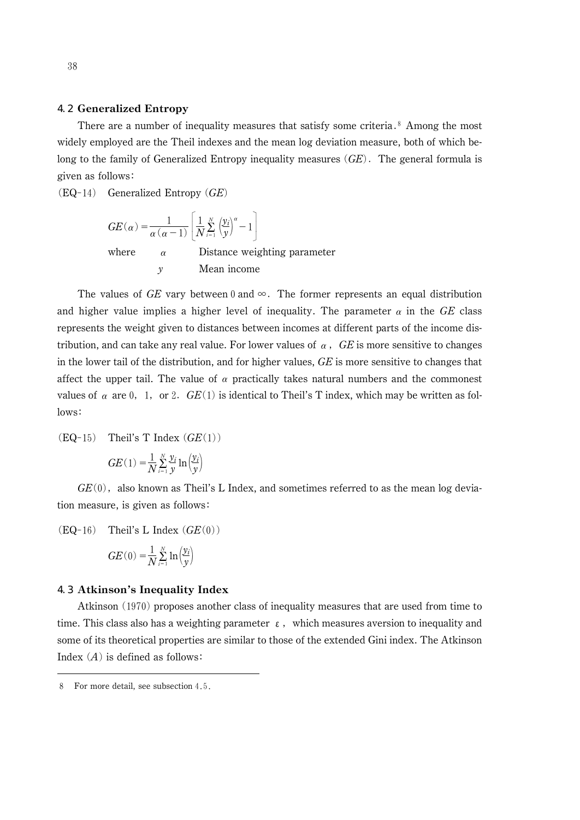# 4.2 Generalized Entropy

There are a number of inequality measures that satisfy some criteria.<sup>8</sup> Among the most widely employed are the Theil indexes and the mean log deviation measure, both of which belong to the family of Generalized Entropy inequality measures  $(GE)$ . The general formula is given as follows

 $(EQ-14)$  Generalized Entropy  $(GE)$ 

$$
GE(\alpha) = \frac{1}{\alpha(\alpha - 1)} \left[ \frac{1}{N} \sum_{i=1}^{N} \left( \frac{y_i}{y} \right)^{\alpha} - 1 \right]
$$
  
where  $\alpha$  Distance weighting parameter  
 $y$  Mean income

The values of GE vary between 0 and  $\infty$ . The former represents an equal distribution and higher value implies a higher level of inequality. The parameter  $\alpha$  in the GE class represents the weight given to distances between incomes at different parts of the income distribution, and can take any real value. For lower values of  $\alpha$ , GE is more sensitive to changes in the lower tail of the distribution, and for higher values,  $GE$  is more sensitive to changes that affect the upper tail. The value of  $\alpha$  practically takes natural numbers and the commonest values of  $\alpha$  are 0, 1, or 2.  $GE(1)$  is identical to Theil's T index, which may be written as follows:

 $(EQ-15)$  Theil's T Index  $(GE(1))$ 

$$
GE(1) = \frac{1}{N} \sum_{i=1}^{N} \frac{y_i}{y} \ln \left( \frac{y_i}{y} \right)
$$

 $GE(0)$ , also known as Theil's L Index, and sometimes referred to as the mean log deviation measure, is given as follows

 $(EQ-16)$  Theil's L Index  $(GE(0))$ 

$$
GE(0) = \frac{1}{N} \sum_{i=1}^{N} \ln \left( \frac{y_i}{y} \right)
$$

#### 4.3 Atkinson's Inequality Index

Atkinson (1970) proposes another class of inequality measures that are used from time to time. This class also has a weighting parameter  $\epsilon$ , which measures aversion to inequality and some of its theoretical properties are similar to those of the extended Gini index. The Atkinson Index  $(A)$  is defined as follows:

<sup>8</sup> For more detail, see subsection 4.5.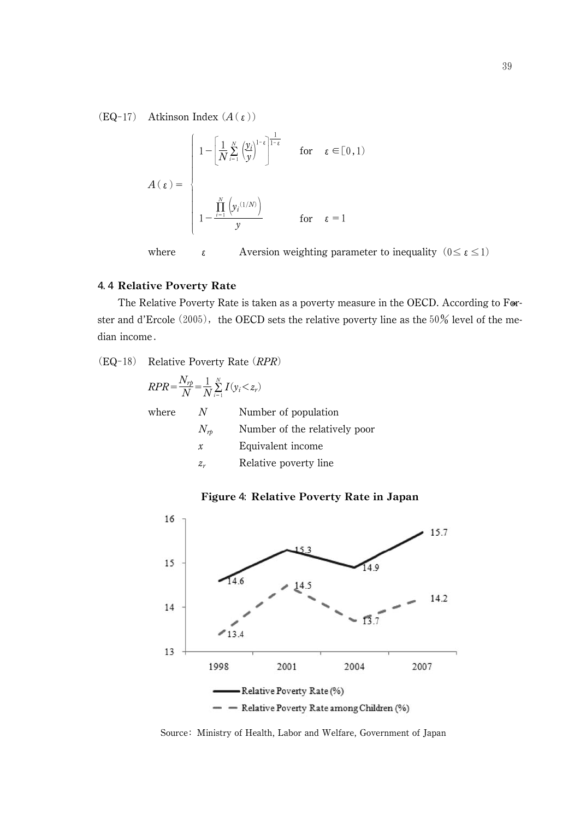$(EQ-17)$  Atkinson Index  $(A(\epsilon))$ 

$$
A(\varepsilon) = \begin{cases} 1 - \left[ \frac{1}{N} \sum_{i=1}^{N} \left( \frac{y_i}{y} \right)^{1-\varepsilon} \right]^{\frac{1}{1-\varepsilon}} & \text{for} \quad \varepsilon \in [0,1) \\ 1 - \frac{\prod_{i=1}^{N} \left( y_i^{(1/N)} \right)}{y} & \text{for} \quad \varepsilon = 1 \end{cases}
$$

where  $\epsilon$  Aversion weighting parameter to inequality  $(0 \le \epsilon \le 1)$ 

# 4.4 Relative Poverty Rate

The Relative Poverty Rate is taken as a poverty measure in the OECD. According to Forster and d'Ercole  $(2005)$ , the OECD sets the relative poverty line as the 50% level of the median income

 $(EQ-18)$  Relative Poverty Rate  $(RPR)$ 

| $RPR = \frac{N_{rp}}{N} = \frac{1}{N} \sum_{i=1}^{N} I(y_i \leq z_r)$ |               |                               |  |  |  |
|-----------------------------------------------------------------------|---------------|-------------------------------|--|--|--|
| where                                                                 | N             | Number of population          |  |  |  |
|                                                                       | $N_{rb}$      | Number of the relatively poor |  |  |  |
|                                                                       | $\mathcal{X}$ | Equivalent income             |  |  |  |
|                                                                       | $z_{r}$       | Relative poverty line         |  |  |  |

# Figure 4: Relative Poverty Rate in Japan



Source: Ministry of Health, Labor and Welfare, Government of Japan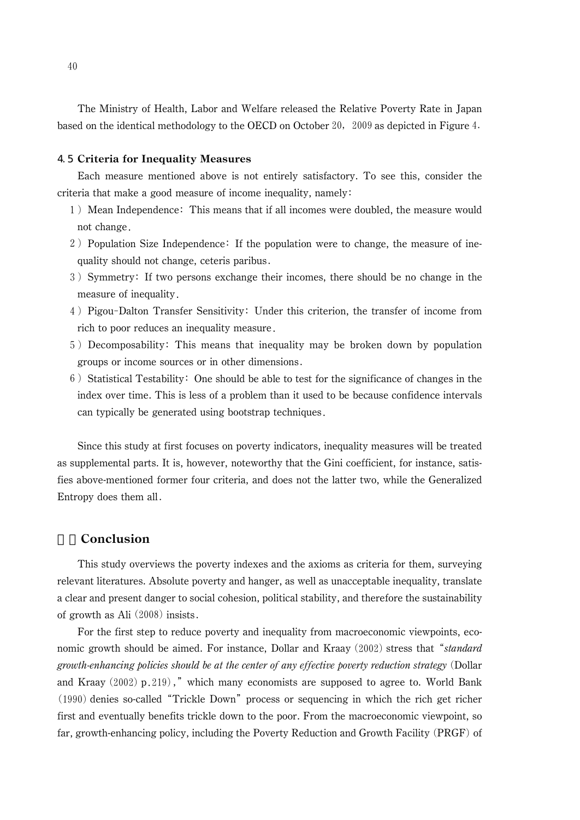The Ministry of Health, Labor and Welfare released the Relative Poverty Rate in Japan<br>d on the identical methodology to the OECD on October 20, 2009 as depicted in Figure 4. based on the identical methodology to the OECD on October 20,  $2009$  as depicted in Figure 4.

# 4.5 Criteria for Inequality Measures

Each measure mentioned above is not entirely satisfactory. To see this, consider the criteria that make a good measure of income inequality, namely

- 1) Mean Independence: This means that if all incomes were doubled, the measure would not change
- 2) Population Size Independence: If the population were to change, the measure of inequality should not change, ceteris paribus
- 3) Symmetry: If two persons exchange their incomes, there should be no change in the measure of inequality
- 4) Pigou-Dalton Transfer Sensitivity: Under this criterion, the transfer of income from rich to poor reduces an inequality measure
- Decomposability This means that inequality may be broken down by population groups or income sources or in other dimensions
- $6$ ) Statistical Testability: One should be able to test for the significance of changes in the index over time. This is less of a problem than it used to be because confidence intervals can typically be generated using bootstrap techniques

Since this study at first focuses on poverty indicators, inequality measures will be treated as supplemental parts. It is, however, noteworthy that the Gini coefficient, for instance, satisfies above-mentioned former four criteria, and does not the latter two, while the Generalized Entropy does them all

# **Conclusion**

This study overviews the poverty indexes and the axioms as criteria for them, surveying relevant literatures. Absolute poverty and hanger, as well as unacceptable inequality, translate a clear and present danger to social cohesion, political stability, and therefore the sustainability of growth as Ali  $(2008)$  insists.

For the first step to reduce poverty and inequality from macroeconomic viewpoints, eco-For the first step to reduce poverty and inequality from macroeconomic viewpoints, economic growth should be aimed. For instance, Dollar and Kraay (2002) stress that "*standard* growth-enhancing policies should be at the center of any effective poverty reduction strategy (Dollar<br>and Kraay (2002) p.219)," which many economists are supposed to agree to. World Bank and Kraay  $(2002)$  p.219) and Kraay (2002)  $p.219$ )," which many economists are supposed to agree to. World Bank (1990) denies so-called "Trickle Down" process or sequencing in which the rich get richer first and eventually benefits trickle down to the poor. From the macroeconomic viewpoint, so far, growth-enhancing policy, including the Poverty Reduction and Growth Facility (PRGF) of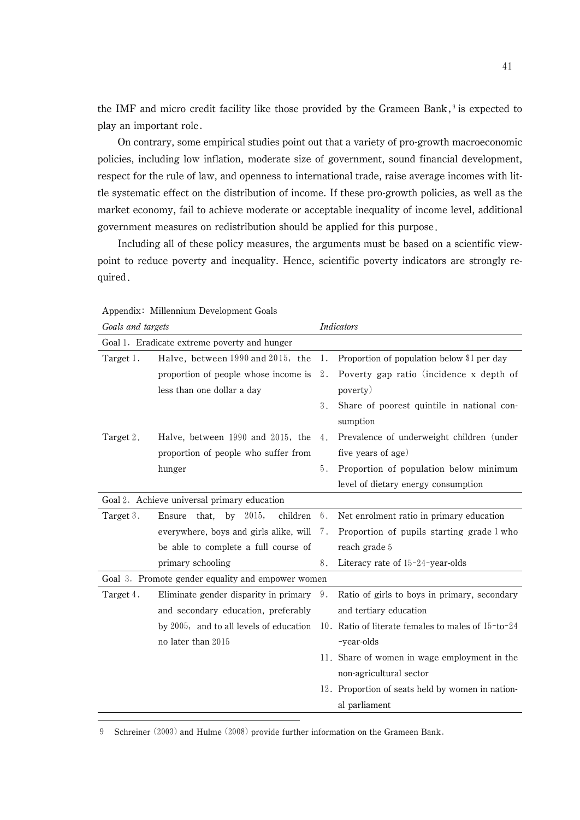the IMF and micro credit facility like those provided by the Grameen Bank, $\theta$  is expected to play an important role

On contrary, some empirical studies point out that a variety of pro-growth macroeconomic policies, including low inflation, moderate size of government, sound financial development, respect for the rule of law, and openness to international trade, raise average incomes with little systematic effect on the distribution of income. If these pro-growth policies, as well as the market economy, fail to achieve moderate or acceptable inequality of income level, additional government measures on redistribution should be applied for this purpose

Including all of these policy measures, the arguments must be based on a scientific viewpoint to reduce poverty and inequality. Hence, scientific poverty indicators are strongly required

| Goals and targets                            |                                                   | <b>Indicators</b> |                                                    |  |
|----------------------------------------------|---------------------------------------------------|-------------------|----------------------------------------------------|--|
| Goal 1. Eradicate extreme poverty and hunger |                                                   |                   |                                                    |  |
| Target 1.                                    | Halve, between 1990 and 2015, the                 | 1.                | Proportion of population below \$1 per day         |  |
|                                              | proportion of people whose income is              | $2$ .             | Poverty gap ratio (incidence x depth of            |  |
|                                              | less than one dollar a day                        |                   | poverty)                                           |  |
|                                              |                                                   | 3.                | Share of poorest quintile in national con-         |  |
|                                              |                                                   |                   | sumption                                           |  |
| Target 2.                                    | Halve, between 1990 and 2015, the                 | 4.                | Prevalence of underweight children (under          |  |
|                                              | proportion of people who suffer from              |                   | five years of age)                                 |  |
|                                              | hunger                                            | 5.                | Proportion of population below minimum             |  |
|                                              |                                                   |                   | level of dietary energy consumption                |  |
| Goal 2. Achieve universal primary education  |                                                   |                   |                                                    |  |
| Target 3.                                    | that,<br>by 2015,<br>children<br>Ensure           | 6.                | Net enrolment ratio in primary education           |  |
|                                              | everywhere, boys and girls alike, will 7.         |                   | Proportion of pupils starting grade 1 who          |  |
|                                              | be able to complete a full course of              |                   | reach grade 5                                      |  |
|                                              | primary schooling                                 | 8.                | Literacy rate of $15-24$ -year-olds                |  |
|                                              | Goal 3. Promote gender equality and empower women |                   |                                                    |  |
| Target 4.                                    | Eliminate gender disparity in primary             | 9.                | Ratio of girls to boys in primary, secondary       |  |
|                                              | and secondary education, preferably               |                   | and tertiary education                             |  |
|                                              | by 2005, and to all levels of education           |                   | 10. Ratio of literate females to males of 15-to-24 |  |
|                                              | no later than 2015                                |                   | -year-olds                                         |  |
|                                              |                                                   |                   | 11. Share of women in wage employment in the       |  |
|                                              |                                                   |                   | non-agricultural sector                            |  |
|                                              |                                                   |                   | 12. Proportion of seats held by women in nation-   |  |
|                                              |                                                   |                   | al parliament                                      |  |

Appendix: Millennium Development Goals

9 Schreiner (2003) and Hulme (2008) provide further information on the Grameen Bank.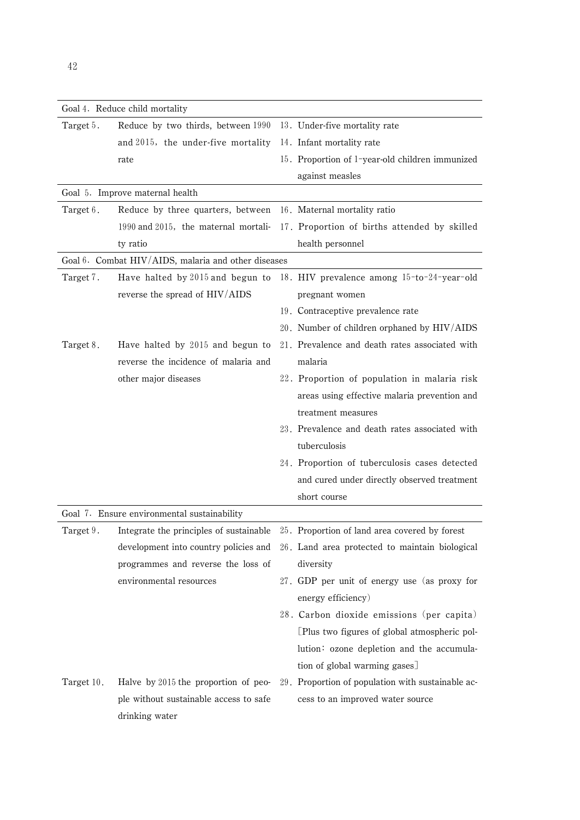|            | Goal 4. Reduce child mortality                      |  |                                                   |  |  |  |  |
|------------|-----------------------------------------------------|--|---------------------------------------------------|--|--|--|--|
| Target 5.  | Reduce by two thirds, between 1990                  |  | 13. Under-five mortality rate                     |  |  |  |  |
|            | and 2015, the under-five mortality                  |  | 14. Infant mortality rate                         |  |  |  |  |
|            | rate                                                |  | 15. Proportion of 1-year-old children immunized   |  |  |  |  |
|            |                                                     |  | against measles                                   |  |  |  |  |
|            | Goal 5. Improve maternal health                     |  |                                                   |  |  |  |  |
| Target 6.  | Reduce by three quarters, between                   |  | 16. Maternal mortality ratio                      |  |  |  |  |
|            | 1990 and 2015, the maternal mortali-                |  | 17. Proportion of births attended by skilled      |  |  |  |  |
|            | ty ratio                                            |  | health personnel                                  |  |  |  |  |
|            | Goal 6. Combat HIV/AIDS, malaria and other diseases |  |                                                   |  |  |  |  |
| Target 7.  | Have halted by 2015 and begun to                    |  | 18. HIV prevalence among 15-to-24-year-old        |  |  |  |  |
|            | reverse the spread of HIV/AIDS                      |  | pregnant women                                    |  |  |  |  |
|            |                                                     |  | 19. Contraceptive prevalence rate                 |  |  |  |  |
|            |                                                     |  | 20. Number of children orphaned by HIV/AIDS       |  |  |  |  |
| Target 8.  | Have halted by 2015 and begun to                    |  | 21. Prevalence and death rates associated with    |  |  |  |  |
|            | reverse the incidence of malaria and                |  | malaria                                           |  |  |  |  |
|            | other major diseases                                |  | 22. Proportion of population in malaria risk      |  |  |  |  |
|            |                                                     |  | areas using effective malaria prevention and      |  |  |  |  |
|            |                                                     |  | treatment measures                                |  |  |  |  |
|            |                                                     |  | 23. Prevalence and death rates associated with    |  |  |  |  |
|            |                                                     |  | tuberculosis                                      |  |  |  |  |
|            |                                                     |  | 24. Proportion of tuberculosis cases detected     |  |  |  |  |
|            |                                                     |  | and cured under directly observed treatment       |  |  |  |  |
|            |                                                     |  | short course                                      |  |  |  |  |
|            | Goal 7. Ensure environmental sustainability         |  |                                                   |  |  |  |  |
| Target 9.  | Integrate the principles of sustainable             |  | 25. Proportion of land area covered by forest     |  |  |  |  |
|            | development into country policies and               |  | 26. Land area protected to maintain biological    |  |  |  |  |
|            | programmes and reverse the loss of                  |  | diversity                                         |  |  |  |  |
|            | environmental resources                             |  | 27. GDP per unit of energy use (as proxy for      |  |  |  |  |
|            |                                                     |  | energy efficiency)                                |  |  |  |  |
|            |                                                     |  | 28. Carbon dioxide emissions (per capita)         |  |  |  |  |
|            |                                                     |  | [Plus two figures of global atmospheric pol-      |  |  |  |  |
|            |                                                     |  | lution: ozone depletion and the accumula-         |  |  |  |  |
|            |                                                     |  | tion of global warming gases]                     |  |  |  |  |
| Target 10. | Halve by 2015 the proportion of peo-                |  | 29. Proportion of population with sustainable ac- |  |  |  |  |
|            | ple without sustainable access to safe              |  | cess to an improved water source                  |  |  |  |  |
|            | drinking water                                      |  |                                                   |  |  |  |  |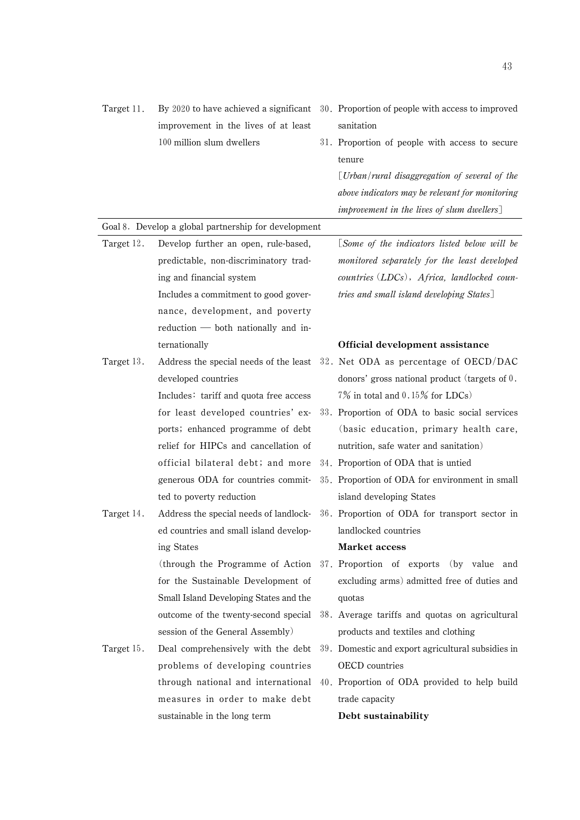| Target 11. |                                                      | By 2020 to have achieved a significant 30. Proportion of people with access to improved |
|------------|------------------------------------------------------|-----------------------------------------------------------------------------------------|
|            | improvement in the lives of at least                 | sanitation                                                                              |
|            | 100 million slum dwellers                            | 31. Proportion of people with access to secure                                          |
|            |                                                      | tenure                                                                                  |
|            |                                                      | $U$ rban/rural disaggregation of several of the                                         |
|            |                                                      | above indicators may be relevant for monitoring                                         |
|            |                                                      | improvement in the lives of slum dwellers]                                              |
|            | Goal 8. Develop a global partnership for development |                                                                                         |
| Target 12. | Develop further an open, rule-based,                 | [Some of the indicators listed below will be                                            |
|            | predictable, non-discriminatory trad-                | monitored separately for the least developed                                            |
|            | ing and financial system                             | countries (LDCs), Africa, landlocked coun-                                              |
|            | Includes a commitment to good gover-                 | tries and small island developing States]                                               |
|            | nance, development, and poverty                      |                                                                                         |
|            | $reduction$ both nationally and in-                  |                                                                                         |
|            | ternationally                                        | Official development assistance                                                         |
| Target 13. | Address the special needs of the least               | 32. Net ODA as percentage of OECD/DAC                                                   |
|            | developed countries                                  | donors' gross national product (targets of $0$ .                                        |
|            | Includes: tariff and quota free access               | $7\%$ in total and 0.15% for LDCs)                                                      |
|            | for least developed countries' ex-                   | 33. Proportion of ODA to basic social services                                          |
|            | ports; enhanced programme of debt                    | (basic education, primary health care,                                                  |
|            | relief for HIPCs and cancellation of                 | nutrition, safe water and sanitation)                                                   |
|            | official bilateral debt; and more                    | 34. Proportion of ODA that is untied                                                    |
|            | generous ODA for countries commit-                   | 35. Proportion of ODA for environment in small                                          |
|            | ted to poverty reduction                             | island developing States                                                                |
| Target 14. | Address the special needs of landlock-               | 36. Proportion of ODA for transport sector in                                           |
|            | ed countries and small island develop-               | landlocked countries                                                                    |
|            | ing States                                           | Market access                                                                           |
|            | (through the Programme of Action)                    | 37. Proportion of exports (by value and                                                 |
|            | for the Sustainable Development of                   | excluding arms) admitted free of duties and                                             |
|            | Small Island Developing States and the               | quotas                                                                                  |
|            | outcome of the twenty-second special                 | 38. Average tariffs and quotas on agricultural                                          |
|            | session of the General Assembly)                     | products and textiles and clothing                                                      |
| Target 15. | Deal comprehensively with the debt                   | 39. Domestic and export agricultural subsidies in                                       |
|            | problems of developing countries                     | <b>OECD</b> countries                                                                   |
|            | through national and international                   | 40. Proportion of ODA provided to help build                                            |
|            | measures in order to make debt                       | trade capacity                                                                          |
|            | sustainable in the long term                         | Debt sustainability                                                                     |
|            |                                                      |                                                                                         |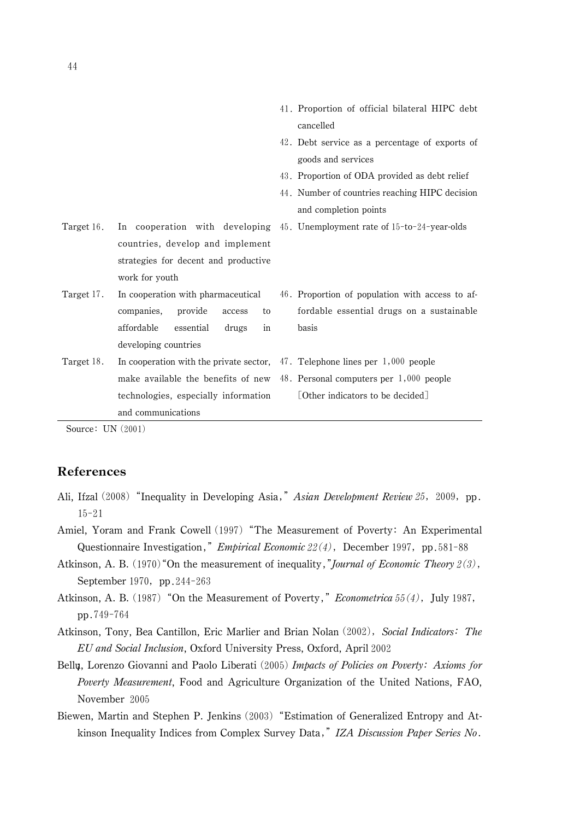|                                        | 41. Proportion of official bilateral HIPC debt                                                                                                                                                                                                       |
|----------------------------------------|------------------------------------------------------------------------------------------------------------------------------------------------------------------------------------------------------------------------------------------------------|
|                                        | cancelled                                                                                                                                                                                                                                            |
|                                        | 42. Debt service as a percentage of exports of                                                                                                                                                                                                       |
|                                        | goods and services                                                                                                                                                                                                                                   |
|                                        | 43. Proportion of ODA provided as debt relief                                                                                                                                                                                                        |
|                                        | 44. Number of countries reaching HIPC decision                                                                                                                                                                                                       |
|                                        | and completion points                                                                                                                                                                                                                                |
|                                        |                                                                                                                                                                                                                                                      |
| countries, develop and implement       |                                                                                                                                                                                                                                                      |
| strategies for decent and productive   |                                                                                                                                                                                                                                                      |
| work for youth                         |                                                                                                                                                                                                                                                      |
| In cooperation with pharmaceutical     | 46. Proportion of population with access to af-                                                                                                                                                                                                      |
| companies.<br>provide<br>access<br>to  | fordable essential drugs on a sustainable                                                                                                                                                                                                            |
| affordable<br>essential<br>drugs<br>in | basis                                                                                                                                                                                                                                                |
| developing countries                   |                                                                                                                                                                                                                                                      |
|                                        |                                                                                                                                                                                                                                                      |
|                                        |                                                                                                                                                                                                                                                      |
| technologies, especially information   | [Other indicators to be decided]                                                                                                                                                                                                                     |
| and communications                     |                                                                                                                                                                                                                                                      |
|                                        | In cooperation with developing $45$ . Unemployment rate of $15$ -to-24-year-olds<br>In cooperation with the private sector, $47.$ Telephone lines per $1,000$ people<br>make available the benefits of new 48. Personal computers per $1,000$ people |

Source:  $UN(2001)$ 

# References

- **References**<br>Ali, Ifzal (2008) "Inequality in Developing Asia," *Asian Development Review 25*, 2009, pp.  $15 - 21$ 15-21<br>Amiel, Yoram and Frank Cowell (1997) "The Measurement of Poverty: An Experimental
- el, Yoram and Frank Cowell (1997) "The Measurement of Poverty: An Exper<br>Questionnaire Investigation," *Empirical Economic 22(4)*, December 1997, pp.58  $1 - 88$ Questionnaire Investigation," *Empirical Economic 22(4)*, December 1997, pp. 581-88<br>Atkinson, A. B. (1970) "On the measurement of inequality," *Journal of Economic Theory 2(3)*, Investigation," *Empirical Economic 22(4)*, 970) "On the measurement of inequality,"*J*
- September 1970, pp. 244-263  $(1970)$  "On the moment" of the moment of the moment of  $(970, \text{ pp. } 244 - 263)$ September 1970, pp. 244-263<br>Atkinson, A. B. (1987) "On the Measurement of Poverty," *Econometrica* 55(4), July 1987,
- pp.749-764
- Atkinson, Tony, Bea Cantillon, Eric Marlier and Brian Nolan (2002), Social Indicators: The EU and Social Inclusion, Oxford University Press, Oxford, April
- Bellu, Lorenzo Giovanni and Paolo Liberati (2005) Impacts of Policies on Poverty: Axioms for Poverty Measurement, Food and Agriculture Organization of the United Nations, FAO, November 2005
- Biewen, Martin and Stephen P. Jenkins (2003) "Estimation of Generalized Entropy and Atven, Martin and Stephen P. Jenkins (2003) "Estimation of Generalized Entropy and At-<br>kinson Inequality Indices from Complex Survey Data," IZA Discussion Paper Series No.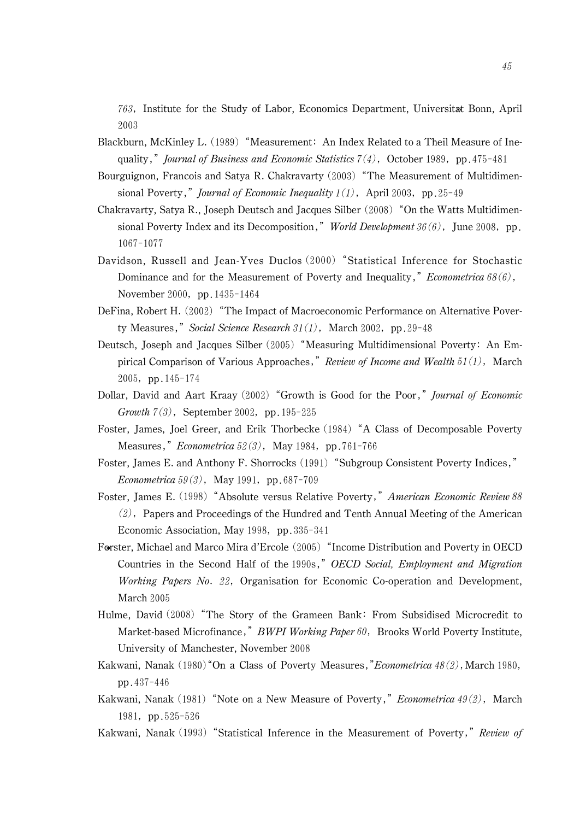763, Institute for the Study of Labor, Economics Department, Universitat Bonn, April 2003 2003<br>Blackburn, McKinley L. (1989) "Measurement: An Index Related to a Theil Measure of Ine-

- Blackburn, McKinley L. (1989) "Measurement: An Index Related to a Theil Measure of I<br>quality," *Journal of Business and Economic Statistics* 7(4), October 1989, pp. 475-481<br>Bourguignon, Francois and Satya R. Chakravarty (2
- Exercytigmon, Francois and Satya R. Chakravarty (2003) "The Measurement of Multidimensional Poverty," *Journal of Economic Inequality*  $1(1)$ , April 2003, pp. 25-49  $-49$
- sional Poverty," *Journal of Economic Inequality*  $1(1)$ , April 2003, pp. 25-49<br>Chakravarty, Satya R., Joseph Deutsch and Jacques Silber (2008) "On the Watts Multidimen-<br>sional Poverty Index and its Decomposition," *World* 1067-1077
- 1067-1077<br>Davidson, Russell and Jean-Yves Duclos (2000) "Statistical Inference for Stochastic<br>Dominance and for the Measurement of Poverty and Inequality," *Econometrica* 68(6), Dominance and for the Measurement of Poverty and Inequality," *Econometrica*  $68(6)$ , November 2000, pp. 1435-1464 November 2000, pp. 1435-1464<br>DeFina, Robert H. (2002) "The Impact of Macroeconomic Performance on Alternative Pover-
- ina, Robert H. (2002) "The Impact of Macroeconomic Performance on<br>ty Measures," *Social Science Research 31(1)*, March 2002, pp.29-48<br>tsch, Joseph and Jacques Silber (2005) "Measuring Multidimensiona
- Deutsch, Joseph and Jacques Silber  $(2005)$  "Measuring Multidimensional Poverty: An Empirical Comparison of Various Approaches," *Review of Income and Wealth*  $51(1)$ , March  $2005$ , pp.  $145-174$ pirical Comparison of Various Approaches," Review of Income and Wealth  $51(1)$ , March 2005, pp. 145-174<br>Dollar, David and Aart Kraay (2002) "Growth is Good for the Poor," *Journal of Economic*
- ar, David and Aart Kraay (2002) "Gr<br>Growth  $7(3)$ , September 2002, pp. 19  $5 - 225$
- Growth  $7(3)$ , September 2002, pp. 195-225<br>Foster, James, Joel Greer, and Erik Thorbecke (1984) "A Class of Decomposable Poverty<br>Measures," *Econometrica* 52(3), May 1984, pp. 761-766 Measures," *Econometrica*  $52(3)$ , May 1984, pp. 761-766<br>Foster, James E. and Anthony F. Shorrocks (1991) "Subgroup Consistent Poverty Indices," Measures," *Econometrica*  $52(3)$ , May 1984, pp. 761-766
- er, James E. and Anthony F. Shorrocks (199<br>Econometrica 59(3), May 1991, pp.687-709  $E$ conometrica 59(3), May 1991, pp.687-709<br>Foster, James E. (1998) "Absolute versus Relative Poverty," American Economic Review 88
- er, James E. (1998) "Absolute versus Relative Poverty," *American Economic Review 88*<br>(2), Papers and Proceedings of the Hundred and Tenth Annual Meeting of the American (2), Papers and Proceedings of the Hundred a<br>Economic Association, May 1998, pp.335-341
- Economic Association, May 1998, pp. 335-341<br>Førster, Michael and Marco Mira d'Ercole (2005) "Income Distribution and Poverty in OECD<br>Countries in the Second Half of the 1990s," OECD Social, Employment and Migration Countries in the Second Half of the 1990s," OECD Social, Employment and Migration<br>Working Papers No. 22, Organisation for Economic Co-operation and Development, March 2005 March 2005<br>Hulme, David (2008) "The Story of the Grameen Bank: From Subsidised Microcredit to
- Market-based Microfinance," BWPI Working Paper 60, Brooks World Poverty Institute, University of Manchester, November University of Manchester, November 2008<br>Kakwani, Nanak (1980) "On a Class of Poverty Measures, *"Econometrica 48(2)*, March 1980,
- pp. 437-446 pp. 437-446<br>Kakwani, Nanak (1981) "Note on a New Measure of Poverty," *Econometrica 49(2)*, March
- 1981, pp.525-526 ini, Nanal<br>81, pp.5 1981, pp.525-526<br>Kakwani, Nanak (1993) "Statistical Inference in the Measurement of Poverty," Review of
-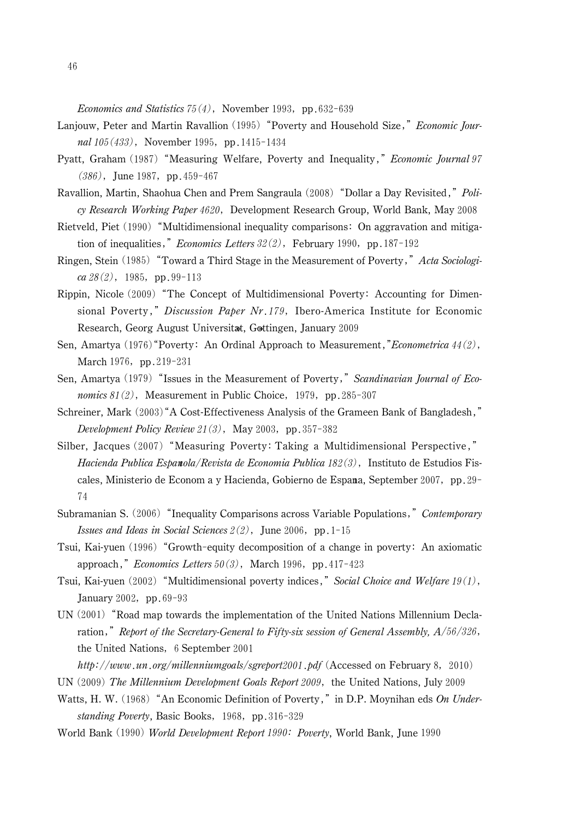- Economics and Statistics 75(4), November 1993, pp.632-639<br>Lanjouw, Peter and Martin Ravallion (1995) "Poverty and Hous 1993, pp.632-639<br>Poverty and Household Size," *Economic Jour*ouw, Peter and Martin Ravallion (1)<br> *nal* 105(433), November 1995, pp. nal 105(433), November 1995, pp. 1415-1434 nal 105(433), November 1995, pp. 1415-1434<br>Pyatt, Graham (1987) "Measuring Welfare, Poverty and Inequality," *Economic Journal 97*
- $(386)$ , June 1987, pp. 459-467 raham (1987) "Me<br>), June 1987, pp. (386), June 1987, pp. 459-467<br>Ravallion, Martin, Shaohua Chen and Prem Sangraula (2008) "Dollar a Day Revisited," *Poli*-
- allion, Martin, Shaohua Chen and Prem Sangraula (2008) "Dollar a Day Revisited," *Poli*<br>*cy Research Working Paper 4620*,Development Research Group, World Bank, May 2008 cy Research Working Paper 4620, Development Research Group, World Bank, May 2008<br>Rietveld, Piet (1990) "Multidimensional inequality comparisons: On aggravation and mitiga-
- weld, Piet (1990) "Multidimensional inequality comparisons: On aggravation of inequalities," *Economics Letters*  $32(2)$ , February 1990, pp. 187-192 tion of inequalities," *Economics Letters*  $32(2)$ , February 1990, pp. 187-192<br>Ringen, Stein (1985) "Toward a Third Stage in the Measurement of Poverty," *Acta Sociologi*-
- (en, Stein (1985) "To<br> *ca 28* (2), 1985, pp.  $ca 28(2)$ , 1985, pp.99-113  $ca 28(2)$ , 1985, pp.99-113<br>Rippin, Nicole (2009) "The Concept of Multidimensional Poverty: Accounting for Dimen-
- oin, Nicole (2009) "The Concept of Multidimensional Poverty: Accounting for Dimensional Poverty," *Discussion Paper Nr.179*, Ibero-America Institute for Economic Research, Georg August Universitat, Gottingen, January 2009<br>Amartya (1976) "Poverty: An Ordinal Approach to Measure Research, Georg August Universitat, Gottingen, January 2009<br>Sen, Amartya (1976) "Poverty: An Ordinal Approach to Measurement, *"Econometrica* 44(2),
- March  $1976$ , pp.  $219-231$ March 1976, pp.219-231<br>Sen, Amartya (1979) "Issues in the Measurement of Poverty," Scandinavian Journal of Eco-
- Amartya (1979) "Issues in the Measurement of Poverty,<br>nomics  $81(2)$ , Measurement in Public Choice, 1979, pp. *nomics*  $81(2)$ , Measurement in Public Choice, 1979, pp. 285-307 *nomics 81(2)*, Measurement in Public Choice, 1979, pp. 285-307<br>Schreiner, Mark (2003) "A Cost-Effectiveness Analysis of the Grameen Bank of Bangladesh,"
- einer, Mark  $(2003)^4$ A Cost-Effectiveness Analysis of the *Development Policy Review*  $21(3)$ , May 2003, pp. 357-382 Development Policy Review 21(3), May 2003, pp. 357-382<br>Silber, Jacques (2007) "Measuring Poverty: Taking a Multidimensional Perspective,"
- er, Jacques (2007) "Measuring Poverty: Taking a Multidimensional Perspective,"<br>*Hacienda Publica Espanola/Revista de Economia Publica 182(3)*, Instituto de Estudios Fis-Hacienda Publica Espanola/Revista de Economia Publica 182(3), Instituto de Estudios Fiscales, Ministerio de Econom a y Hacienda, Gobierno de Espana, September 2007, pp. 29-74 <sup>74</sup><br>Subramanian S. (2006) "Inequality Comparisons across Variable Populations," *Contemporary*
- Exercise and Ideas in Social Sciences  $2(2)$ , June 2006, pp. 1-15<br>Issues and Ideas in Social Sciences  $2(2)$ , June 2006, pp. 1-15<br>, Kai-yuen (1996) "Growth-equity decomposition of a chan
- Tsui, Kai-yuen (1996) "Growth-equity decomposition of a change in poverty: An axiomatic approach," *Economics Letters*  $50(3)$ , March 1996, pp. 417-423 pp.417-423 approach," *Economics Letters*  $50(3)$ , March 1996, pp. 417-423<br>Tsui, Kai-yuen (2002) "Multidimensional poverty indices," *Social Choice and Welfare* 19(1),
- , Kai-yuen (2002)<br>January 2002, pp. 69-93
- January 2002, pp. 69-93<br>UN (2001) "Road map towards the implementation of the United Nations Millennium Decla-<br>ration," Report of the Secretary-General to Fifty-six session of General Assembly,  $A/56/326$ ,  $/326,$ ration," *Report of the Secretary-General*<br>the United Nations, 6 September 2001 the United Nations, 6 September 2001<br>http://www.un.org/millenniumgoals/sgreport2001.pdf (Accessed on February 8, 2010)
- 
- UN  $(2009)$  The Millennium Development Goals Report 2009, the United Nations, July 2009 UN (2009) The Millennium Development Goals Report 2009, the United Nations, July 2009<br>Watts, H. W. (1968) "An Economic Definition of Poverty," in D.P. Moynihan eds On Under-
- ts, H. W. (1968) "An Economic Definition<br>*standing Poverty*, Basic Books, 1968, pp. 316-329
- World Bank (1990) World Development Report 1990: Poverty, World Bank, June 1990